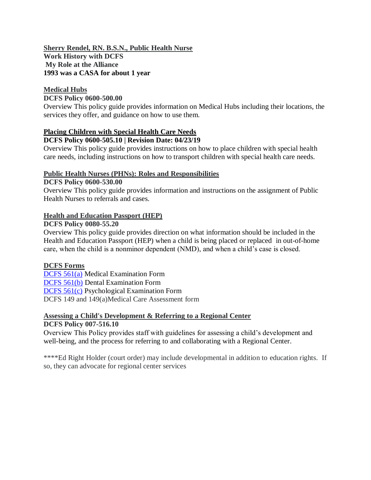## **Sherry Rendel, RN. B.S.N., Public Health Nurse Work History with DCFS My Role at the Alliance 1993 was a CASA for about 1 year**

## **Medical Hubs**

## **DCFS Policy 0600-500.00**

Overview This policy guide provides information on Medical Hubs including their locations, the services they offer, and guidance on how to use them.

### **Placing Children with Special Health Care Needs DCFS Policy 0600-505.10 | Revision Date: 04/23/19**

Overview This policy guide provides instructions on how to place children with special health care needs, including instructions on how to transport children with special health care needs.

## **Public Health Nurses (PHNs): Roles and Responsibilities**

## **DCFS Policy 0600-530.00**

Overview This policy guide provides information and instructions on the assignment of Public Health Nurses to referrals and cases.

## **Health and Education Passport (HEP)**

## **DCFS Policy 0080-55.20**

Overview This policy guide provides direction on what information should be included in the Health and Education Passport (HEP) when a child is being placed or replaced in out-of-home care, when the child is a nonminor dependent (NMD), and when a child's case is closed.

## **DCFS Forms**

[DCFS 561\(a\)](http://mylacounty.info/dcfs/cms1_168626.doc) Medical Examination Form [DCFS 561\(b\)](http://mylacounty.info/dcfs/cms1_168627.dot) Dental Examination Form [DCFS 561\(c\)](http://mylacounty.info/dcfs/cms1_168628.dot) Psychological Examination Form DCFS 149 and 149(a)Medical Care Assessment form

# **Assessing a Child's Development & Referring to a Regional Center**

## **DCFS Policy 007-516.10**

Overview This Policy provides staff with guidelines for assessing a child's development and well-being, and the process for referring to and collaborating with a Regional Center.

\*\*\*\*Ed Right Holder (court order) may include developmental in addition to education rights. If so, they can advocate for regional center services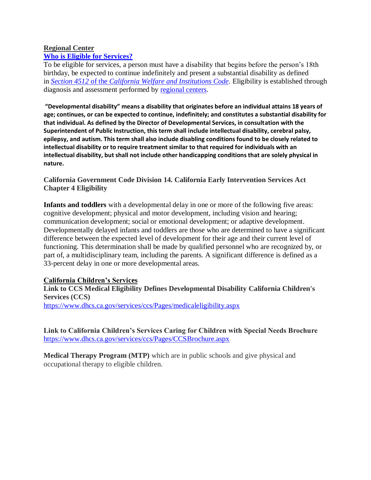#### **Regional Center [Who is Eligible for Services?](https://www.dds.ca.gov/rc/#collapse-panel-eligible)**

To be eligible for services, a person must have a disability that begins before the person's 18th birthday, be expected to continue indefinitely and present a substantial disability as defined in *Section 4512* of the *[California Welfare and Institutions Code](http://leginfo.legislature.ca.gov/faces/codes_displaySection.xhtml?lawCode=WIC§ionNum=4512.)*. Eligibility is established through diagnosis and assessment performed by [regional centers.](https://www.dds.ca.gov/rc/)

**"Developmental disability" means a disability that originates before an individual attains 18 years of age; continues, or can be expected to continue, indefinitely; and constitutes a substantial disability for that individual. As defined by the Director of Developmental Services, in consultation with the Superintendent of Public Instruction, this term shall include intellectual disability, cerebral palsy, epilepsy, and autism. This term shall also include disabling conditions found to be closely related to intellectual disability or to require treatment similar to that required for individuals with an intellectual disability, but shall not include other handicapping conditions that are solely physical in nature.**

## **California Government Code Division 14. California Early Intervention Services Act Chapter 4 Eligibility**

**Infants and toddlers** with a developmental delay in one or more of the following five areas: cognitive development; physical and motor development, including vision and hearing; communication development; social or emotional development; or adaptive development. Developmentally delayed infants and toddlers are those who are determined to have a significant difference between the expected level of development for their age and their current level of functioning. This determination shall be made by qualified personnel who are recognized by, or part of, a multidisciplinary team, including the parents. A significant difference is defined as a 33-percent delay in one or more developmental areas.

## **California Children's Services**

**Link to CCS Medical Eligibility Defines Developmental Disability California Children's Services (CCS)**  <https://www.dhcs.ca.gov/services/ccs/Pages/medicaleligibility.aspx>

**Link to California Children's Services Caring for Children with Special Needs Brochure** <https://www.dhcs.ca.gov/services/ccs/Pages/CCSBrochure.aspx>

**Medical Therapy Program (MTP)** which are in public schools and give physical and occupational therapy to eligible children.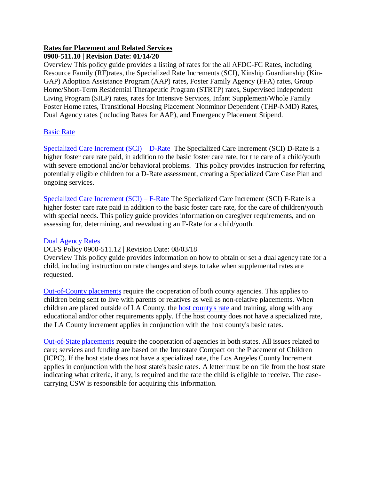## **Rates for Placement and Related Services**

## **0900-511.10 | Revision Date: 01/14/20**

Overview This policy guide provides a listing of rates for the all AFDC-FC Rates, including Resource Family (RF)rates, the Specialized Rate Increments (SCI), Kinship Guardianship (Kin-GAP) Adoption Assistance Program (AAP) rates, Foster Family Agency (FFA) rates, Group Home/Short-Term Residential Therapeutic Program (STRTP) rates, Supervised Independent Living Program (SILP) rates, rates for Intensive Services, Infant Supplement/Whole Family Foster Home rates, Transitional Housing Placement Nonminor Dependent (THP-NMD) Rates, Dual Agency rates (including Rates for AAP), and Emergency Placement Stipend.

## [Basic Rate](http://policy.dcfs.lacounty.gov/Content/AFDC_FC_GRI_FC_Rates.htm#BASICRATESCHDLEB)

[Specialized Care Increment \(SCI\) –](http://policy.dcfs.lacounty.gov/Content/AFDC_FC_GRI_FC_Rates.htm#SCIDRATE) D-Rate The Specialized Care Increment (SCI) D-Rate is a higher foster care rate paid, in addition to the basic foster care rate, for the care of a child/youth with severe emotional and/or behavioral problems. This policy provides instruction for referring potentially eligible children for a D-Rate assessment, creating a Specialized Care Case Plan and ongoing services.

[Specialized Care Increment \(SCI\) –](http://policy.dcfs.lacounty.gov/Content/AFDC_FC_GRI_FC_Rates.htm#SCIFRATE) F-Rate The Specialized Care Increment (SCI) F-Rate is a higher foster care rate paid in addition to the basic foster care rate, for the care of children/youth with special needs. This policy guide provides information on caregiver requirements, and on assessing for, determining, and reevaluating an F-Rate for a child/youth.

## [Dual Agency Rates](http://policy.dcfs.lacounty.gov/Content/AFDC_FC_GRI_FC_Rates.htm#DualAgencyRates)

DCFS Policy 0900-511.12 | Revision Date: 08/03/18

Overview This policy guide provides information on how to obtain or set a dual agency rate for a child, including instruction on rate changes and steps to take when supplemental rates are requested.

[Out-of-County placements](http://policy.dcfs.lacounty.gov/Content/Out_Of_County_Placements.htm) require the cooperation of both county agencies. This applies to children being sent to live with parents or relatives as well as non-relative placements. When children are placed outside of LA County, the [host county's rate](http://www.childsworld.ca.gov/res/pdf/ChildWelfareAgencyRep.pdf) and training, along with any educational and/or other requirements apply. If the host county does not have a specialized rate, the LA County increment applies in conjunction with the host county's basic rates.

[Out-of-State placements](http://policy.dcfs.lacounty.gov/Content/Interstate_Compact_on_th.htm) require the cooperation of agencies in both states. All issues related to care; services and funding are based on the Interstate Compact on the Placement of Children (ICPC). If the host state does not have a specialized rate, the Los Angeles County Increment applies in conjunction with the host state's basic rates. A letter must be on file from the host state indicating what criteria, if any, is required and the rate the child is eligible to receive. The casecarrying CSW is responsible for acquiring this information.